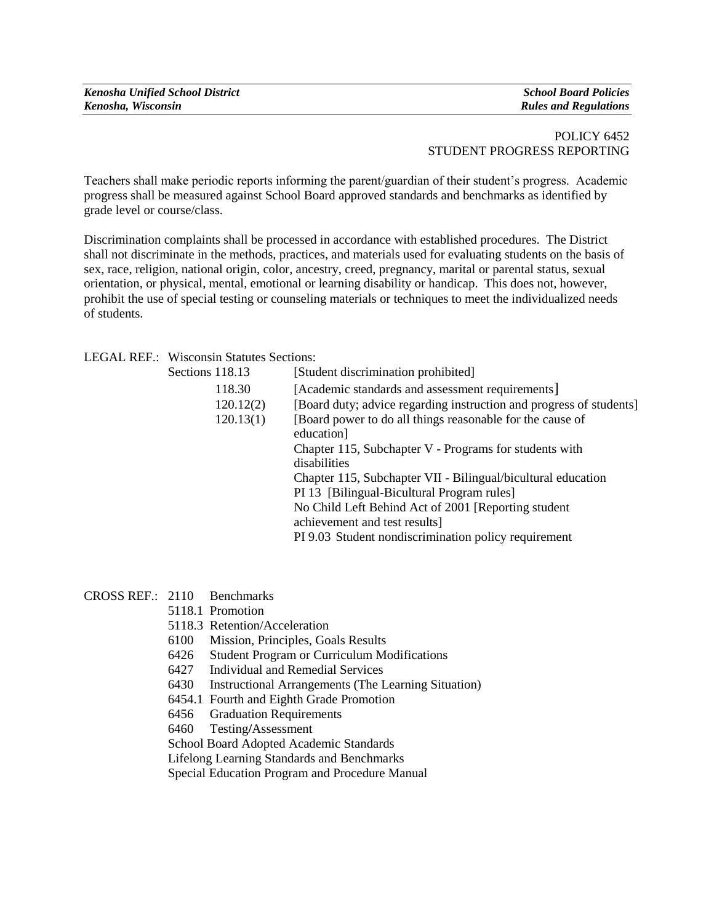| <b>Kenosha Unified School District</b> | <b>School Board Policies</b> |
|----------------------------------------|------------------------------|
| Kenosha, Wisconsin                     | <b>Rules and Regulations</b> |

### POLICY 6452 STUDENT PROGRESS REPORTING

Teachers shall make periodic reports informing the parent/guardian of their student's progress. Academic progress shall be measured against School Board approved standards and benchmarks as identified by grade level or course/class.

Discrimination complaints shall be processed in accordance with established procedures. The District shall not discriminate in the methods, practices, and materials used for evaluating students on the basis of sex, race, religion, national origin, color, ancestry, creed, pregnancy, marital or parental status, sexual orientation, or physical, mental, emotional or learning disability or handicap. This does not, however, prohibit the use of special testing or counseling materials or techniques to meet the individualized needs of students.

LEGAL REF.: Wisconsin Statutes Sections:

| Sections 118.13 | [Student discrimination prohibited]                                     |
|-----------------|-------------------------------------------------------------------------|
| 118.30          | [Academic standards and assessment requirements]                        |
| 120.12(2)       | [Board duty; advice regarding instruction and progress of students]     |
| 120.13(1)       | [Board power to do all things reasonable for the cause of<br>education] |
|                 | Chapter 115, Subchapter V - Programs for students with                  |
|                 | disabilities                                                            |
|                 | Chapter 115, Subchapter VII - Bilingual/bicultural education            |
|                 | PI 13 [Bilingual-Bicultural Program rules]                              |
|                 | No Child Left Behind Act of 2001 [Reporting student                     |
|                 | achievement and test results]                                           |
|                 | PI 9.03 Student nondiscrimination policy requirement                    |
|                 |                                                                         |

CROSS REF.: 2110 Benchmarks

- 5118.1 Promotion
- 5118.3 Retention/Acceleration
- 6100 Mission, Principles, Goals Results
- 6426 Student Program or Curriculum Modifications
- 6427 Individual and Remedial Services
- 6430 Instructional Arrangements (The Learning Situation)
- 6454.1 Fourth and Eighth Grade Promotion
- 6456 Graduation Requirements

6460 Testing**/**Assessment

School Board Adopted Academic Standards

Lifelong Learning Standards and Benchmarks

Special Education Program and Procedure Manual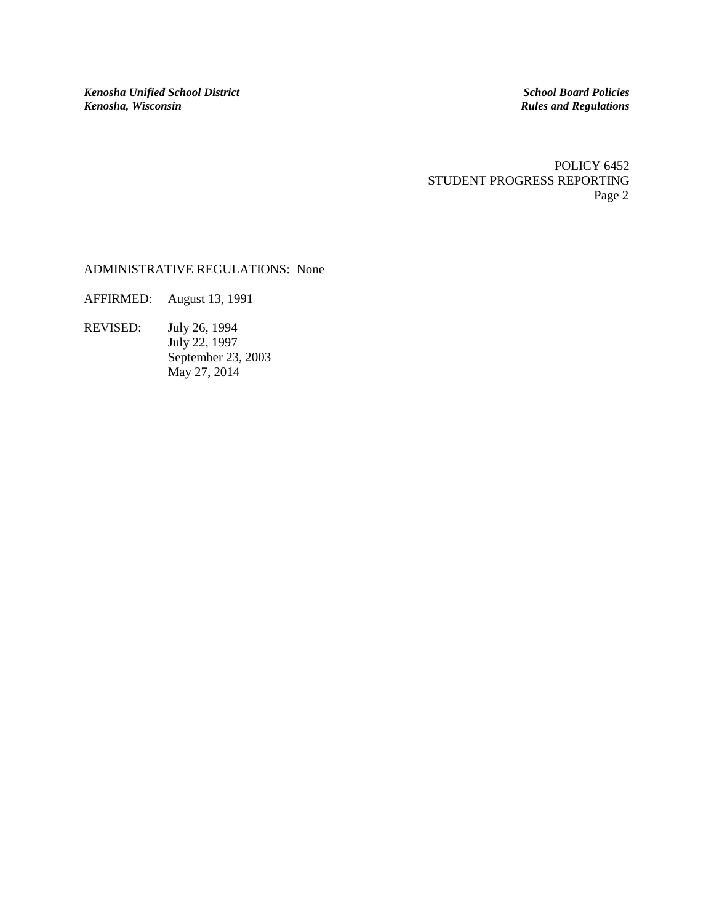POLICY 6452 STUDENT PROGRESS REPORTING Page 2

# ADMINISTRATIVE REGULATIONS: None

AFFIRMED: August 13, 1991

REVISED: July 26, 1994 July 22, 1997 September 23, 2003 May 27, 2014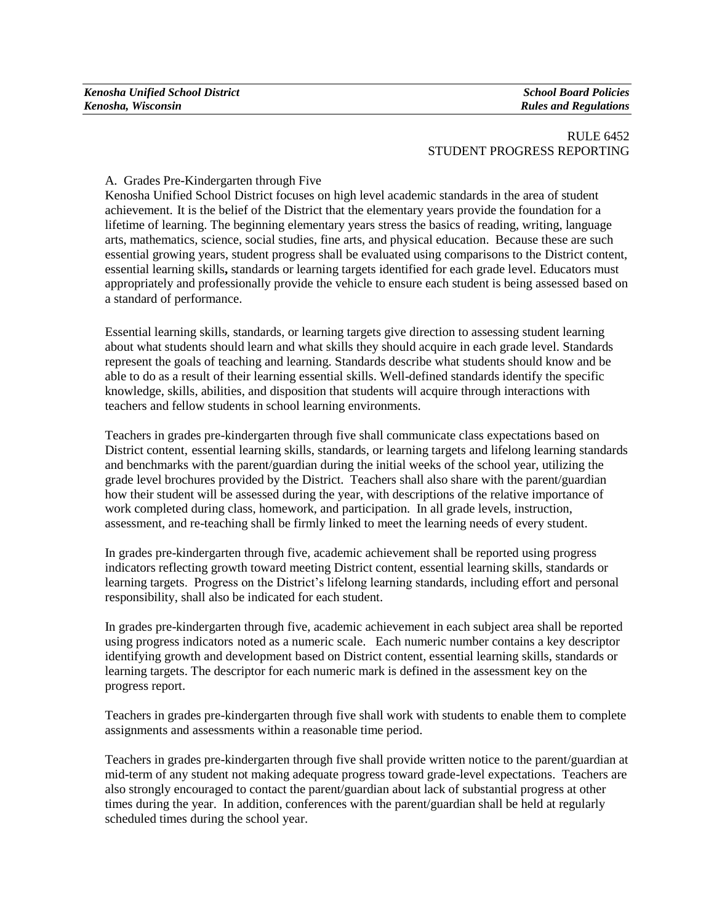| <b>Kenosha Unified School District</b> | <b>School Board Policies</b> |
|----------------------------------------|------------------------------|
| Kenosha, Wisconsin                     | <b>Rules and Regulations</b> |

### RULE 6452 STUDENT PROGRESS REPORTING

### A. Grades Pre-Kindergarten through Five

Kenosha Unified School District focuses on high level academic standards in the area of student achievement. It is the belief of the District that the elementary years provide the foundation for a lifetime of learning. The beginning elementary years stress the basics of reading, writing, language arts, mathematics, science, social studies, fine arts, and physical education. Because these are such essential growing years, student progress shall be evaluated using comparisons to the District content, essential learning skills**,** standards or learning targets identified for each grade level. Educators must appropriately and professionally provide the vehicle to ensure each student is being assessed based on a standard of performance.

Essential learning skills, standards, or learning targets give direction to assessing student learning about what students should learn and what skills they should acquire in each grade level. Standards represent the goals of teaching and learning. Standards describe what students should know and be able to do as a result of their learning essential skills. Well-defined standards identify the specific knowledge, skills, abilities, and disposition that students will acquire through interactions with teachers and fellow students in school learning environments.

Teachers in grades pre-kindergarten through five shall communicate class expectations based on District content, essential learning skills, standards, or learning targets and lifelong learning standards and benchmarks with the parent/guardian during the initial weeks of the school year, utilizing the grade level brochures provided by the District. Teachers shall also share with the parent/guardian how their student will be assessed during the year, with descriptions of the relative importance of work completed during class, homework, and participation. In all grade levels, instruction, assessment, and re-teaching shall be firmly linked to meet the learning needs of every student.

In grades pre-kindergarten through five, academic achievement shall be reported using progress indicators reflecting growth toward meeting District content, essential learning skills, standards or learning targets. Progress on the District's lifelong learning standards, including effort and personal responsibility, shall also be indicated for each student.

In grades pre-kindergarten through five, academic achievement in each subject area shall be reported using progress indicators noted as a numeric scale. Each numeric number contains a key descriptor identifying growth and development based on District content, essential learning skills, standards or learning targets. The descriptor for each numeric mark is defined in the assessment key on the progress report.

Teachers in grades pre-kindergarten through five shall work with students to enable them to complete assignments and assessments within a reasonable time period.

Teachers in grades pre-kindergarten through five shall provide written notice to the parent/guardian at mid-term of any student not making adequate progress toward grade-level expectations. Teachers are also strongly encouraged to contact the parent/guardian about lack of substantial progress at other times during the year. In addition, conferences with the parent/guardian shall be held at regularly scheduled times during the school year.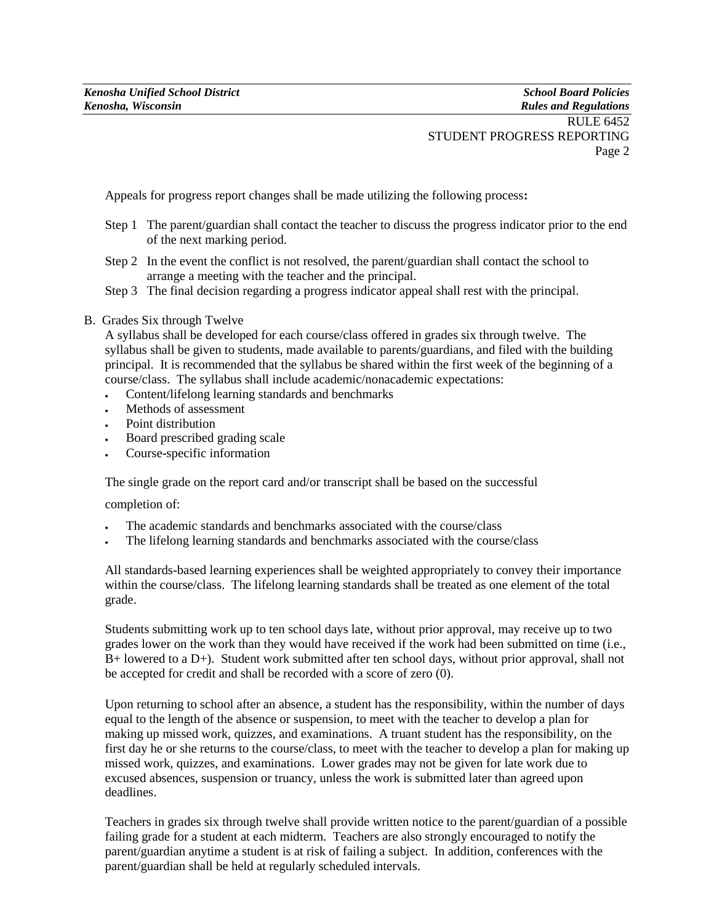Appeals for progress report changes shall be made utilizing the following process**:**

- Step 1 The parent/guardian shall contact the teacher to discuss the progress indicator prior to the end of the next marking period.
- Step 2 In the event the conflict is not resolved, the parent/guardian shall contact the school to arrange a meeting with the teacher and the principal.
- Step 3 The final decision regarding a progress indicator appeal shall rest with the principal.

# B. Grades Six through Twelve

A syllabus shall be developed for each course/class offered in grades six through twelve. The syllabus shall be given to students, made available to parents/guardians, and filed with the building principal. It is recommended that the syllabus be shared within the first week of the beginning of a course/class. The syllabus shall include academic/nonacademic expectations:

- Content/lifelong learning standards and benchmarks
- Methods of assessment
- Point distribution
- Board prescribed grading scale
- Course-specific information

The single grade on the report card and/or transcript shall be based on the successful

completion of:

- The academic standards and benchmarks associated with the course/class
- The lifelong learning standards and benchmarks associated with the course/class

All standards-based learning experiences shall be weighted appropriately to convey their importance within the course/class. The lifelong learning standards shall be treated as one element of the total grade.

Students submitting work up to ten school days late, without prior approval, may receive up to two grades lower on the work than they would have received if the work had been submitted on time (i.e., B+ lowered to a D+). Student work submitted after ten school days, without prior approval, shall not be accepted for credit and shall be recorded with a score of zero (0).

Upon returning to school after an absence, a student has the responsibility, within the number of days equal to the length of the absence or suspension, to meet with the teacher to develop a plan for making up missed work, quizzes, and examinations. A truant student has the responsibility, on the first day he or she returns to the course/class, to meet with the teacher to develop a plan for making up missed work, quizzes, and examinations. Lower grades may not be given for late work due to excused absences, suspension or truancy, unless the work is submitted later than agreed upon deadlines.

Teachers in grades six through twelve shall provide written notice to the parent/guardian of a possible failing grade for a student at each midterm. Teachers are also strongly encouraged to notify the parent/guardian anytime a student is at risk of failing a subject. In addition, conferences with the parent/guardian shall be held at regularly scheduled intervals.